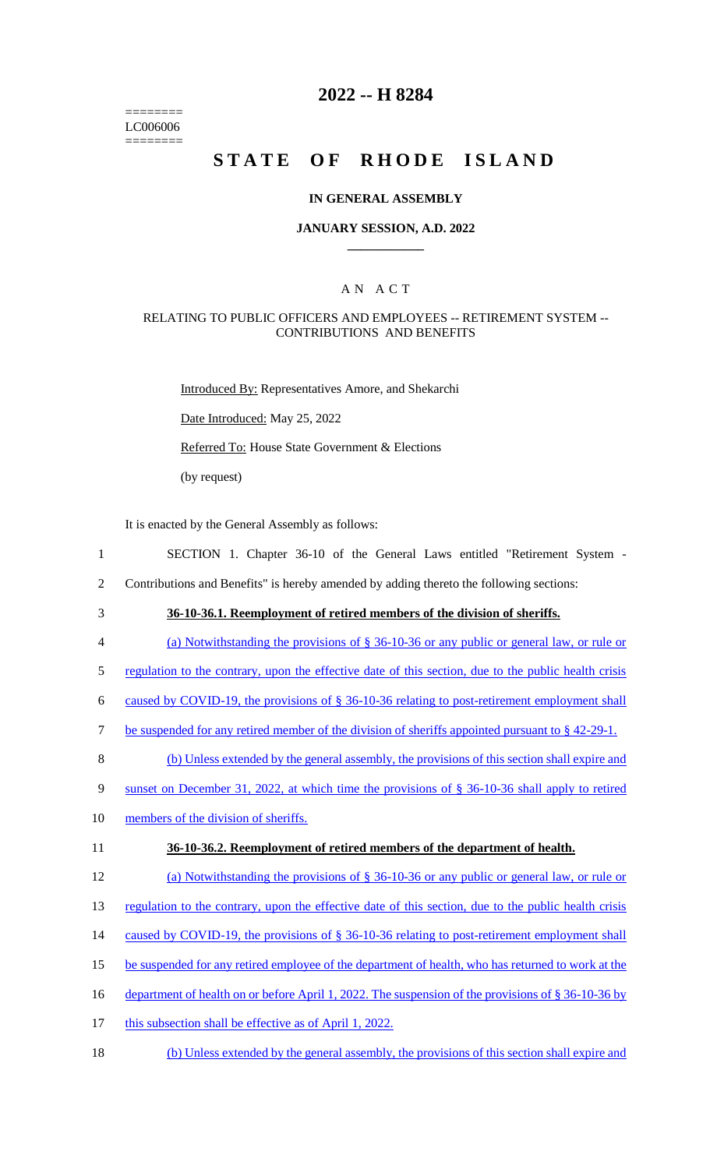======== LC006006 ========

## **2022 -- H 8284**

# **STATE OF RHODE ISLAND**

#### **IN GENERAL ASSEMBLY**

#### **JANUARY SESSION, A.D. 2022 \_\_\_\_\_\_\_\_\_\_\_\_**

#### A N A C T

#### RELATING TO PUBLIC OFFICERS AND EMPLOYEES -- RETIREMENT SYSTEM -- CONTRIBUTIONS AND BENEFITS

Introduced By: Representatives Amore, and Shekarchi Date Introduced: May 25, 2022 Referred To: House State Government & Elections (by request)

It is enacted by the General Assembly as follows:

- 1 SECTION 1. Chapter 36-10 of the General Laws entitled "Retirement System -
- 2 Contributions and Benefits" is hereby amended by adding thereto the following sections:
- 

# 3 **36-10-36.1. Reemployment of retired members of the division of sheriffs.**

- 4 (a) Notwithstanding the provisions of § 36-10-36 or any public or general law, or rule or
- 5 regulation to the contrary, upon the effective date of this section, due to the public health crisis
- 6 caused by COVID-19, the provisions of  $\S$  36-10-36 relating to post-retirement employment shall
- 7 be suspended for any retired member of the division of sheriffs appointed pursuant to § 42-29-1.
- 8 (b) Unless extended by the general assembly, the provisions of this section shall expire and
- 9 sunset on December 31, 2022, at which time the provisions of § 36-10-36 shall apply to retired
- 10 members of the division of sheriffs.

#### 11 **36-10-36.2. Reemployment of retired members of the department of health.**

- 12 (a) Notwithstanding the provisions of § 36-10-36 or any public or general law, or rule or
- 13 regulation to the contrary, upon the effective date of this section, due to the public health crisis
- 14 caused by COVID-19, the provisions of § 36-10-36 relating to post-retirement employment shall
- 15 be suspended for any retired employee of the department of health, who has returned to work at the
- 16 department of health on or before April 1, 2022. The suspension of the provisions of § 36-10-36 by
- 17 this subsection shall be effective as of April 1, 2022.
- 18 (b) Unless extended by the general assembly, the provisions of this section shall expire and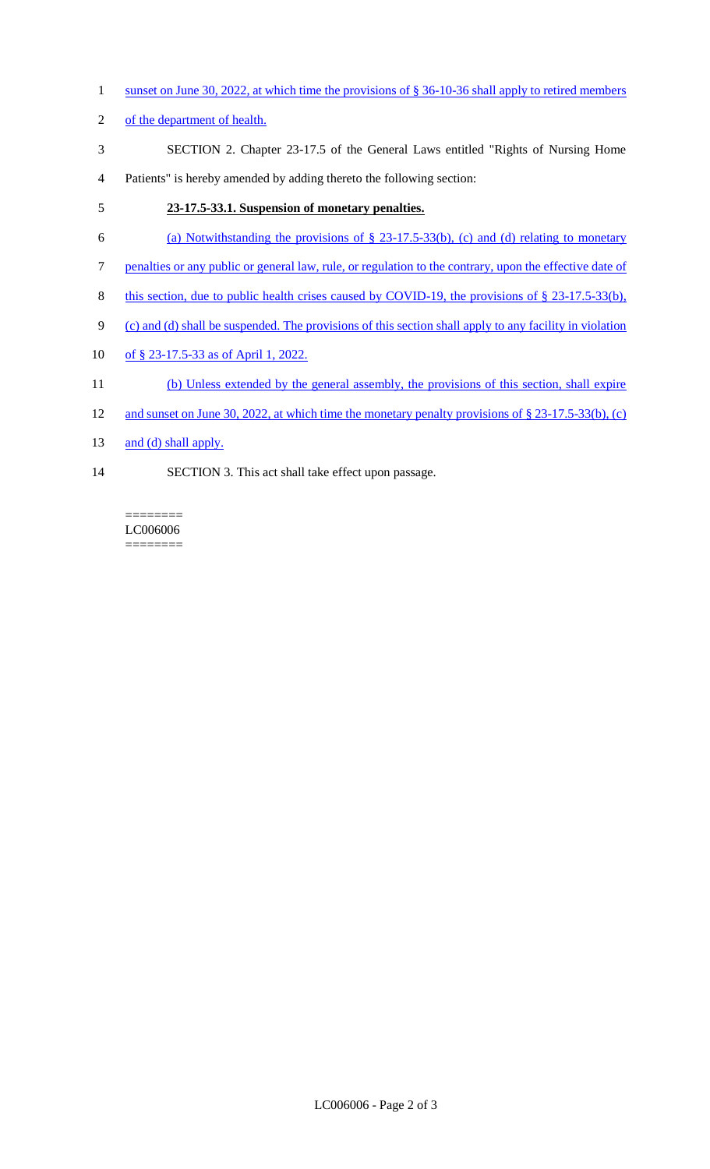- 1 sunset on June 30, 2022, at which time the provisions of § 36-10-36 shall apply to retired members
- 2 of the department of health.
- 3 SECTION 2. Chapter 23-17.5 of the General Laws entitled "Rights of Nursing Home
- 4 Patients" is hereby amended by adding thereto the following section:

# 5 **23-17.5-33.1. Suspension of monetary penalties.**

- 6 (a) Notwithstanding the provisions of  $\S$  23-17.5-33(b), (c) and (d) relating to monetary
- 7 penalties or any public or general law, rule, or regulation to the contrary, upon the effective date of
- 8 this section, due to public health crises caused by COVID-19, the provisions of § 23-17.5-33(b),
- 9 (c) and (d) shall be suspended. The provisions of this section shall apply to any facility in violation
- 10 of § 23-17.5-33 as of April 1, 2022.
- 11 (b) Unless extended by the general assembly, the provisions of this section, shall expire
- 12 and sunset on June 30, 2022, at which time the monetary penalty provisions of § 23-17.5-33(b), (c)
- 13 and (d) shall apply.
- 14 SECTION 3. This act shall take effect upon passage.

======== LC006006 ========